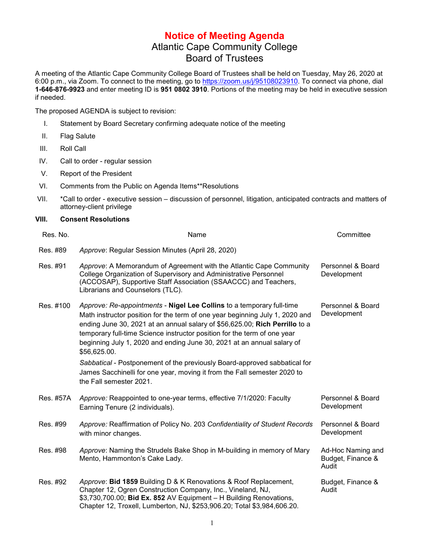## **Notice of Meeting Agenda** Atlantic Cape Community College Board of Trustees

A meeting of the Atlantic Cape Community College Board of Trustees shall be held on Tuesday, May 26, 2020 at 6:00 p.m., via Zoom. To connect to the meeting, go to [https://zoom.us/j/95108023910.](https://zoom.us/j/95108023910) To connect via phone, dial **1-646-876-9923** and enter meeting ID is **951 0802 3910**. Portions of the meeting may be held in executive session if needed.

The proposed AGENDA is subject to revision:

- I. Statement by Board Secretary confirming adequate notice of the meeting
- II. Flag Salute
- III. Roll Call
- IV. Call to order regular session
- V. Report of the President
- VI. Comments from the Public on Agenda Items\*\*Resolutions
- VII. \*Call to order executive session discussion of personnel, litigation, anticipated contracts and matters of attorney-client privilege

## **VIII. Consent Resolutions**

| Res. No.  | Name                                                                                                                                                                                                                                                                                                                                                                                                       | Committee                                       |
|-----------|------------------------------------------------------------------------------------------------------------------------------------------------------------------------------------------------------------------------------------------------------------------------------------------------------------------------------------------------------------------------------------------------------------|-------------------------------------------------|
| Res. #89  | Approve: Regular Session Minutes (April 28, 2020)                                                                                                                                                                                                                                                                                                                                                          |                                                 |
| Res. #91  | Approve: A Memorandum of Agreement with the Atlantic Cape Community<br>College Organization of Supervisory and Administrative Personnel<br>(ACCOSAP), Supportive Staff Association (SSAACCC) and Teachers,<br>Librarians and Counselors (TLC).                                                                                                                                                             | Personnel & Board<br>Development                |
| Res. #100 | Approve: Re-appointments - Nigel Lee Collins to a temporary full-time<br>Math instructor position for the term of one year beginning July 1, 2020 and<br>ending June 30, 2021 at an annual salary of \$56,625.00; Rich Perrillo to a<br>temporary full-time Science instructor position for the term of one year<br>beginning July 1, 2020 and ending June 30, 2021 at an annual salary of<br>\$56,625.00. | Personnel & Board<br>Development                |
|           | Sabbatical - Postponement of the previously Board-approved sabbatical for<br>James Sacchinelli for one year, moving it from the Fall semester 2020 to<br>the Fall semester 2021.                                                                                                                                                                                                                           |                                                 |
| Res. #57A | Approve: Reappointed to one-year terms, effective 7/1/2020: Faculty<br>Earning Tenure (2 individuals).                                                                                                                                                                                                                                                                                                     | Personnel & Board<br>Development                |
| Res. #99  | Approve: Reaffirmation of Policy No. 203 Confidentiality of Student Records<br>with minor changes.                                                                                                                                                                                                                                                                                                         | Personnel & Board<br>Development                |
| Res. #98  | Approve: Naming the Strudels Bake Shop in M-building in memory of Mary<br>Mento, Hammonton's Cake Lady.                                                                                                                                                                                                                                                                                                    | Ad-Hoc Naming and<br>Budget, Finance &<br>Audit |
| Res. #92  | Approve: Bid 1859 Building D & K Renovations & Roof Replacement,<br>Chapter 12, Ogren Construction Company, Inc., Vineland, NJ,<br>\$3,730,700.00; Bid Ex. 852 AV Equipment - H Building Renovations,<br>Chapter 12, Troxell, Lumberton, NJ, \$253,906.20; Total \$3,984,606.20.                                                                                                                           | Budget, Finance &<br>Audit                      |